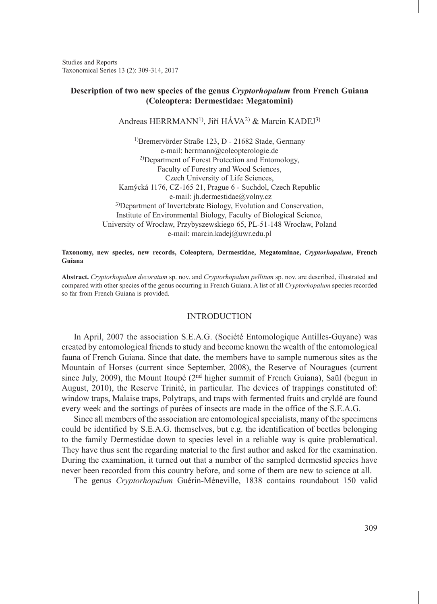Studies and Reports Taxonomical Series 13 (2): 309-314, 2017

## **Description of two new species of the genus** *Cryptorhopalum* **from French Guiana (Coleoptera: Dermestidae: Megatomini)**

Andreas HERRMANN<sup>1)</sup>, Jiří HÁVA<sup>2)</sup> & Marcin KADEJ<sup>3)</sup>

1)Bremervörder Straße 123, D - 21682 Stade, Germany e-mail: herrmann@coleopterologie.de 2)Department of Forest Protection and Entomology, Faculty of Forestry and Wood Sciences, Czech University of Life Sciences, Kamýcká 1176, CZ-165 21, Prague 6 - Suchdol, Czech Republic e-mail: jh.dermestidae@volny.cz 3)Department of Invertebrate Biology, Evolution and Conservation, Institute of Environmental Biology, Faculty of Biological Science, University of Wrocław, Przybyszewskiego 65, PL-51-148 Wrocław, Poland e-mail: marcin.kadej@uwr.edu.pl

#### **Taxonomy, new species, new records, Coleoptera, Dermestidae, Megatominae,** *Cryptorhopalum***, French Guiana**

**Abstract.** *Cryptorhopalum decoratum* sp. nov. and *Cryptorhopalum pellitum* sp. nov. are described, illustrated and compared with other species of the genus occurring in French Guiana. A list of all *Cryptorhopalum* species recorded so far from French Guiana is provided.

#### INTRODUCTION

In April, 2007 the association S.E.A.G. (Société Entomologique Antilles-Guyane) was created by entomological friends to study and become known the wealth of the entomological fauna of French Guiana. Since that date, the members have to sample numerous sites as the Mountain of Horses (current since September, 2008), the Reserve of Nouragues (current since July, 2009), the Mount Itoupé (2<sup>nd</sup> higher summit of French Guiana), Saül (begun in August, 2010), the Reserve Trinité, in particular. The devices of trappings constituted of: window traps, Malaise traps, Polytraps, and traps with fermented fruits and cryldé are found every week and the sortings of purées of insects are made in the office of the S.E.A.G.

Since all members of the association are entomological specialists, many of the specimens could be identified by S.E.A.G. themselves, but e.g. the identification of beetles belonging to the family Dermestidae down to species level in a reliable way is quite problematical. They have thus sent the regarding material to the first author and asked for the examination. During the examination, it turned out that a number of the sampled dermestid species have never been recorded from this country before, and some of them are new to science at all.

The genus *Cryptorhopalum* Guérin-Méneville, 1838 contains roundabout 150 valid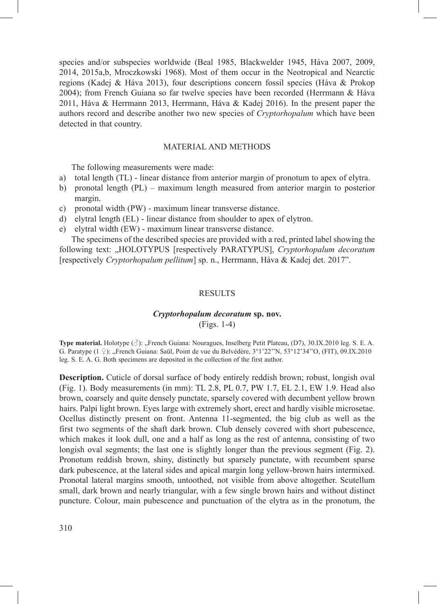species and/or subspecies worldwide (Beal 1985, Blackwelder 1945, Háva 2007, 2009, 2014, 2015a,b, Mroczkowski 1968). Most of them occur in the Neotropical and Nearctic regions (Kadej & Háva 2013), four descriptions concern fossil species (Háva & Prokop 2004); from French Guiana so far twelve species have been recorded (Herrmann & Háva 2011, Háva & Herrmann 2013, Herrmann, Háva & Kadej 2016). In the present paper the authors record and describe another two new species of *Cryptorhopalum* which have been detected in that country.

#### MATERIAL AND METHODS

The following measurements were made:

- a) total length (TL) linear distance from anterior margin of pronotum to apex of elytra.
- b) pronotal length (PL) maximum length measured from anterior margin to posterior margin.
- c) pronotal width (PW) maximum linear transverse distance.
- d) elytral length (EL) linear distance from shoulder to apex of elytron.
- e) elytral width (EW) maximum linear transverse distance.

The specimens of the described species are provided with a red, printed label showing the following text: "HOLOTYPUS [respectively PARATYPUS], *Cryptorhopalum decoratum* [respectively *Cryptorhopalum pellitum*] sp. n., Herrmann, Háva & Kadej det. 2017".

#### **RESULTS**

# *Cryptorhopalum decoratum* **sp. nov.**

(Figs. 1-4)

**Type material.** Holotype (♂): "French Guiana: Nouragues, Inselberg Petit Plateau, (D7), 30.IX.2010 leg. S. E. A. G. Paratype (1 ♀): "French Guiana: Saül, Point de vue du Belvédère, 3°1'22"N, 53°12'34"O, (FIT), 09.IX.2010 leg. S. E. A. G. Both specimens are deposited in the collection of the first author.

**Description.** Cuticle of dorsal surface of body entirely reddish brown; robust, longish oval (Fig. 1). Body measurements (in mm): TL 2.8, PL 0.7, PW 1.7, EL 2.1, EW 1.9. Head also brown, coarsely and quite densely punctate, sparsely covered with decumbent yellow brown hairs. Palpi light brown. Eyes large with extremely short, erect and hardly visible microsetae. Ocellus distinctly present on front. Antenna 11-segmented, the big club as well as the first two segments of the shaft dark brown. Club densely covered with short pubescence, which makes it look dull, one and a half as long as the rest of antenna, consisting of two longish oval segments; the last one is slightly longer than the previous segment (Fig. 2). Pronotum reddish brown, shiny, distinctly but sparsely punctate, with recumbent sparse dark pubescence, at the lateral sides and apical margin long yellow-brown hairs intermixed. Pronotal lateral margins smooth, untoothed, not visible from above altogether. Scutellum small, dark brown and nearly triangular, with a few single brown hairs and without distinct puncture. Colour, main pubescence and punctuation of the elytra as in the pronotum, the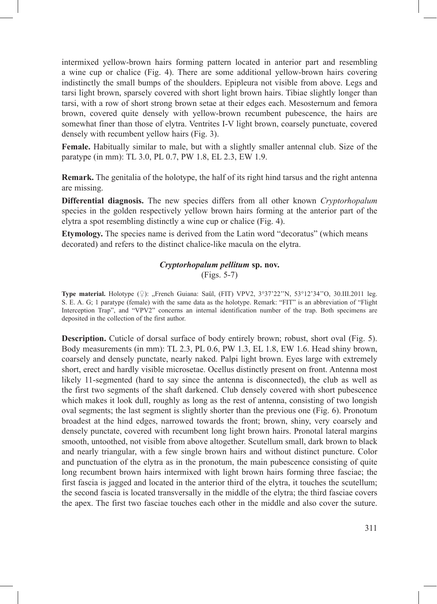intermixed yellow-brown hairs forming pattern located in anterior part and resembling a wine cup or chalice (Fig. 4). There are some additional yellow-brown hairs covering indistinctly the small bumps of the shoulders. Epipleura not visible from above. Legs and tarsi light brown, sparsely covered with short light brown hairs. Tibiae slightly longer than tarsi, with a row of short strong brown setae at their edges each. Mesosternum and femora brown, covered quite densely with yellow-brown recumbent pubescence, the hairs are somewhat finer than those of elytra. Ventrites I-V light brown, coarsely punctuate, covered densely with recumbent yellow hairs (Fig. 3).

**Female.** Habitually similar to male, but with a slightly smaller antennal club. Size of the paratype (in mm): TL 3.0, PL 0.7, PW 1.8, EL 2.3, EW 1.9.

**Remark.** The genitalia of the holotype, the half of its right hind tarsus and the right antenna are missing.

**Differential diagnosis.** The new species differs from all other known *Cryptorhopalum*  species in the golden respectively yellow brown hairs forming at the anterior part of the elytra a spot resembling distinctly a wine cup or chalice (Fig. 4).

**Etymology.** The species name is derived from the Latin word "decoratus" (which means decorated) and refers to the distinct chalice-like macula on the elytra.

# *Cryptorhopalum pellitum* **sp. nov.**

(Figs. 5-7)

Type material. Holotype (♀): "French Guiana: Saül, (FIT) VPV2, 3°37'22"N, 53°12'34"O, 30.III.2011 leg. S. E. A. G; 1 paratype (female) with the same data as the holotype. Remark: "FIT" is an abbreviation of "Flight Interception Trap", and "VPV2" concerns an internal identification number of the trap. Both specimens are deposited in the collection of the first author.

**Description.** Cuticle of dorsal surface of body entirely brown; robust, short oval (Fig. 5). Body measurements (in mm): TL 2.3, PL 0.6, PW 1.3, EL 1.8, EW 1.6. Head shiny brown, coarsely and densely punctate, nearly naked. Palpi light brown. Eyes large with extremely short, erect and hardly visible microsetae. Ocellus distinctly present on front. Antenna most likely 11-segmented (hard to say since the antenna is disconnected), the club as well as the first two segments of the shaft darkened. Club densely covered with short pubescence which makes it look dull, roughly as long as the rest of antenna, consisting of two longish oval segments; the last segment is slightly shorter than the previous one (Fig. 6). Pronotum broadest at the hind edges, narrowed towards the front; brown, shiny, very coarsely and densely punctate, covered with recumbent long light brown hairs. Pronotal lateral margins smooth, untoothed, not visible from above altogether. Scutellum small, dark brown to black and nearly triangular, with a few single brown hairs and without distinct puncture. Color and punctuation of the elytra as in the pronotum, the main pubescence consisting of quite long recumbent brown hairs intermixed with light brown hairs forming three fasciae; the first fascia is jagged and located in the anterior third of the elytra, it touches the scutellum; the second fascia is located transversally in the middle of the elytra; the third fasciae covers the apex. The first two fasciae touches each other in the middle and also cover the suture.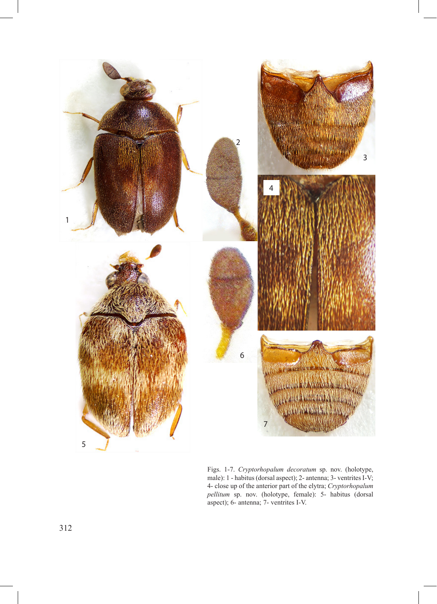

Figs. 1-7. *Cryptorhopalum decoratum* sp. nov. (holotype, male): 1 - habitus (dorsal aspect); 2- antenna; 3- ventrites I-V; 4- close up of the anterior part of the elytra; *Cryptorhopalum pellitum* sp. nov. (holotype, female): 5- habitus (dorsal aspect); 6- antenna; 7- ventrites I-V.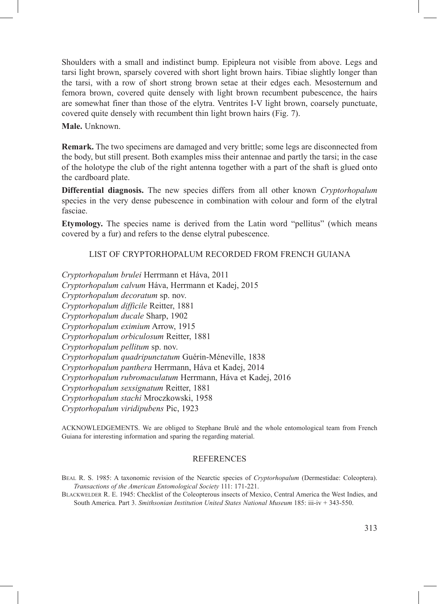Shoulders with a small and indistinct bump. Epipleura not visible from above. Legs and tarsi light brown, sparsely covered with short light brown hairs. Tibiae slightly longer than the tarsi, with a row of short strong brown setae at their edges each. Mesosternum and femora brown, covered quite densely with light brown recumbent pubescence, the hairs are somewhat finer than those of the elytra. Ventrites I-V light brown, coarsely punctuate, covered quite densely with recumbent thin light brown hairs (Fig. 7).

**Male.** Unknown.

**Remark.** The two specimens are damaged and very brittle; some legs are disconnected from the body, but still present. Both examples miss their antennae and partly the tarsi; in the case of the holotype the club of the right antenna together with a part of the shaft is glued onto the cardboard plate.

**Differential diagnosis.** The new species differs from all other known *Cryptorhopalum*  species in the very dense pubescence in combination with colour and form of the elytral fasciae.

**Etymology.** The species name is derived from the Latin word "pellitus" (which means covered by a fur) and refers to the dense elytral pubescence.

### LIST OF CRYPTORHOPALUM RECORDED FROM FRENCH GUIANA

*Cryptorhopalum brulei* Herrmann et Háva, 2011 *Cryptorhopalum calvum* Háva, Herrmann et Kadej, 2015 *Cryptorhopalum decoratum* sp. nov. *Cryptorhopalum difficile* Reitter, 1881 *Cryptorhopalum ducale* Sharp, 1902 *Cryptorhopalum eximium* Arrow, 1915 *Cryptorhopalum orbiculosum* Reitter, 1881 *Cryptorhopalum pellitum* sp. nov. *Cryptorhopalum quadripunctatum* Guérin-Méneville, 1838 *Cryptorhopalum panthera* Herrmann, Háva et Kadej, 2014 *Cryptorhopalum rubromaculatum* Herrmann, Háva et Kadej, 2016 *Cryptorhopalum sexsignatum* Reitter, 1881 *Cryptorhopalum stachi* Mroczkowski, 1958 *Cryptorhopalum viridipubens* Pic, 1923

ACKNOWLEDGEMENTS. We are obliged to Stephane Brulé and the whole entomological team from French Guiana for interesting information and sparing the regarding material.

## REFERENCES

Beal R. S. 1985: A taxonomic revision of the Nearctic species of *Cryptorhopalum* (Dermestidae: Coleoptera). *Transactions of the American Entomological Society* 111: 171-221.

Blackwelder R. E. 1945: Checklist of the Coleopterous insects of Mexico, Central America the West Indies, and South America. Part 3. *Smithsonian Institution United States National Museum* 185: iii-iv + 343-550.